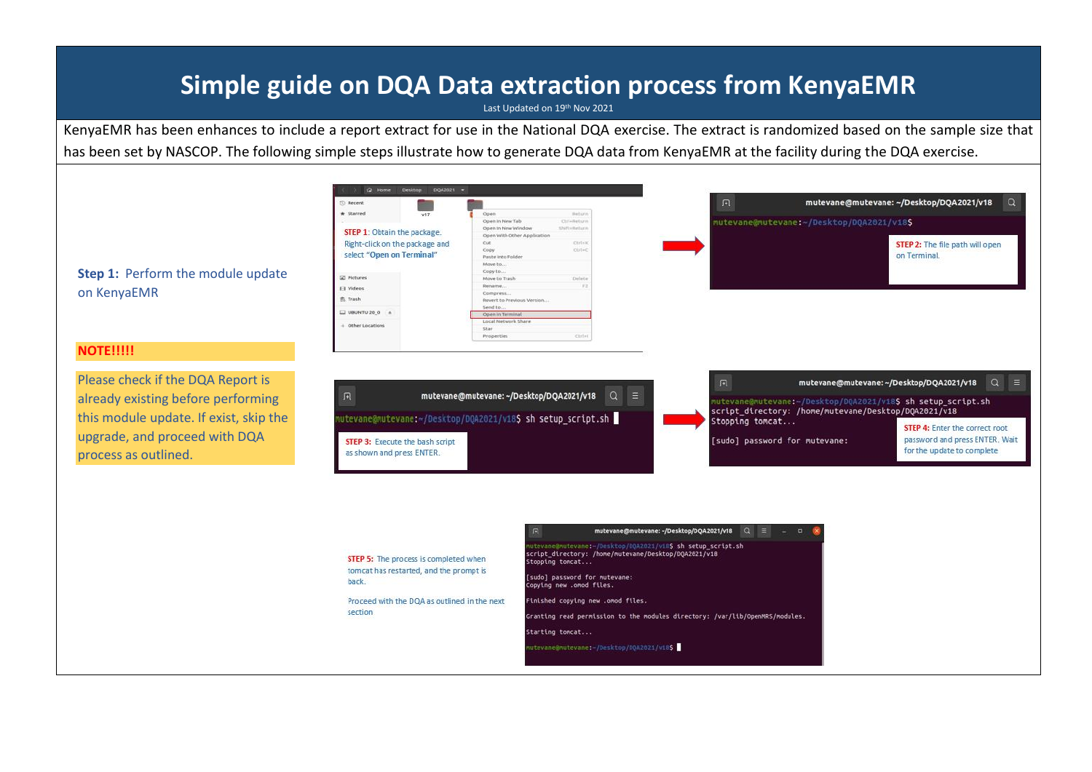## **Simple guide on DQA Data extraction process from KenyaEMR**

Last Updated on 19<sup>th</sup> Nov 2021

KenyaEMR has been enhances to include a report extract for use in the National DQA exercise. The extract is randomized based on the sample size that has been set by NASCOP. The following simple steps illustrate how to generate DQA data from KenyaEMR at the facility during the DQA exercise.

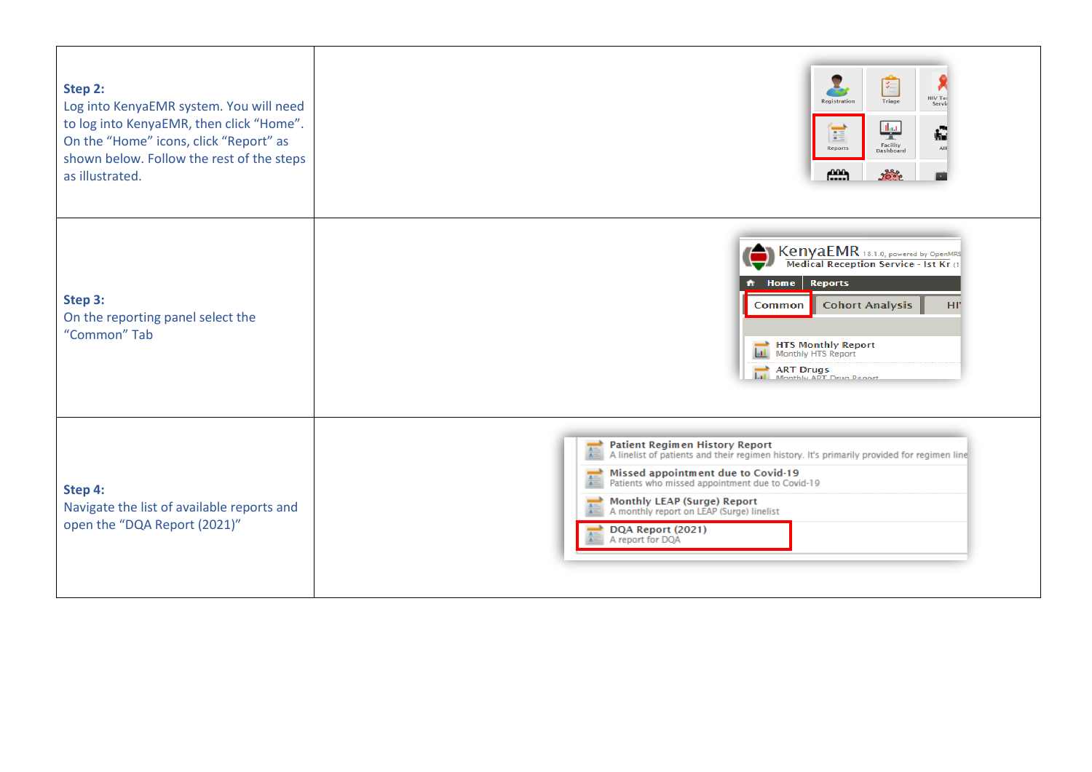| Step 2:<br>Log into KenyaEMR system. You will need<br>to log into KenyaEMR, then click "Home".<br>On the "Home" icons, click "Report" as<br>shown below. Follow the rest of the steps<br>as illustrated. | L<br>盾<br>HIV Tes<br>Triage<br>Registration<br>Servic<br>لبيلا<br>ţ.<br>噩<br>Facility<br>Reports<br>Dashboard<br>$f_{\text{max}}^{000}$<br>googe                                                                                                                                                                                                         |
|----------------------------------------------------------------------------------------------------------------------------------------------------------------------------------------------------------|----------------------------------------------------------------------------------------------------------------------------------------------------------------------------------------------------------------------------------------------------------------------------------------------------------------------------------------------------------|
| Step 3:<br>On the reporting panel select the<br>"Common" Tab                                                                                                                                             | KenyaEMR 18.1.0, powered by OpenMRS<br>Medical Reception Service - 1st Kr<br><b>Reports</b><br>$\hat{\mathsf{n}}$ Home<br><b>Cohort Analysis</b><br>HĽ<br>Common<br><b>HTS Monthly Report</b><br>ART Drugs<br> - Monthly ART Drug Report                                                                                                                 |
| Step 4:<br>Navigate the list of available reports and<br>open the "DQA Report (2021)"                                                                                                                    | <b>Patient Regimen History Report</b><br>A linelist of patients and their regimen history. It's primarily provided for regimen line<br>Missed appointment due to Covid-19<br>Patients who missed appointment due to Covid-19<br><b>Monthly LEAP (Surge) Report</b><br>A monthly report on LEAP (Surge) linelist<br>DQA Report (2021)<br>A report for DOA |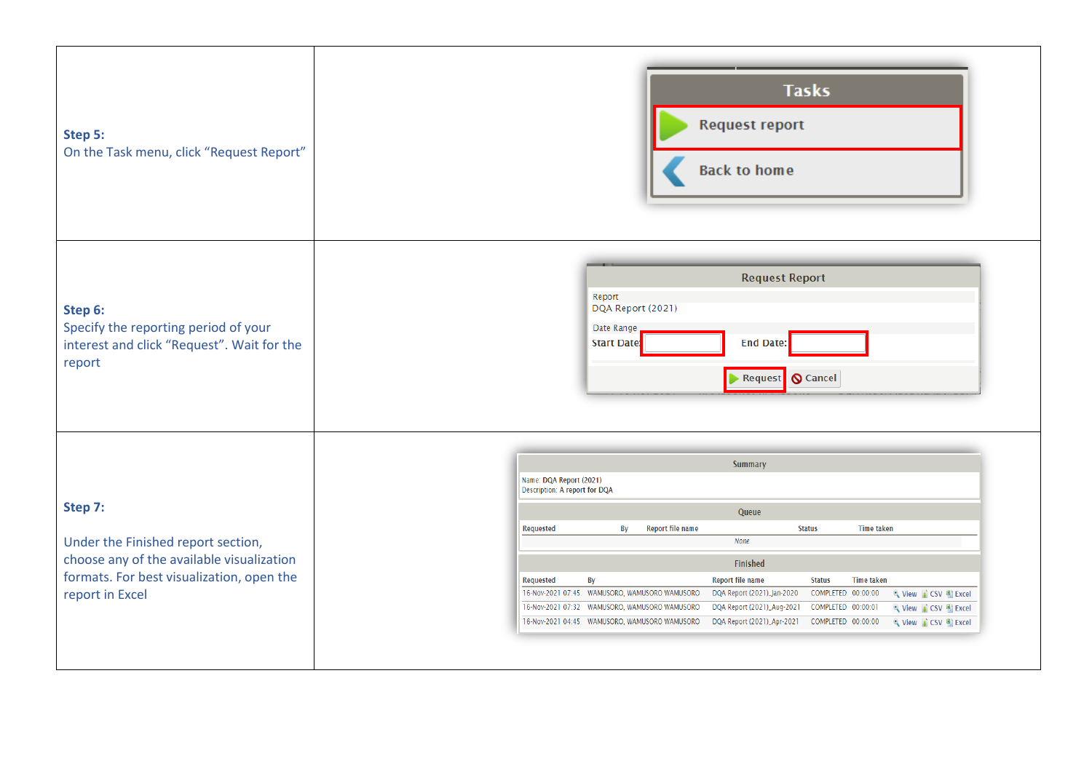| Step 5:<br>On the Task menu, click "Request Report"                                                                                                        | <b>Tasks</b><br><b>Request report</b><br><b>Back to home</b>                                                                                                                                                                                                                                                                                                                                                                                                                                                                                                                                                                                                                       |
|------------------------------------------------------------------------------------------------------------------------------------------------------------|------------------------------------------------------------------------------------------------------------------------------------------------------------------------------------------------------------------------------------------------------------------------------------------------------------------------------------------------------------------------------------------------------------------------------------------------------------------------------------------------------------------------------------------------------------------------------------------------------------------------------------------------------------------------------------|
| Step 6:<br>Specify the reporting period of your<br>interest and click "Request". Wait for the<br>report                                                    | <b>Request Report</b><br>Report<br>DQA Report (2021)<br>Date Range<br><b>End Date:</b><br><b>Start Date:</b><br>Request   Cancel                                                                                                                                                                                                                                                                                                                                                                                                                                                                                                                                                   |
| Step 7:<br>Under the Finished report section,<br>choose any of the available visualization<br>formats. For best visualization, open the<br>report in Excel | <b>Summary</b><br>Name: DQA Report (2021)<br>Description: A report for DQA<br>Queue<br>Report file name<br><b>Time taken</b><br><b>Status</b><br><b>Requested</b><br>By<br>None<br>Finished<br><b>Report file name</b><br><b>Time taken</b><br><b>Requested</b><br>By<br><b>Status</b><br>16-Nov-2021 07:45 WAMUSORO, WAMUSORO WAMUSORO<br>DQA Report (2021)_Jan-2020<br>COMPLETED 00:00:00<br>View CSV Excel<br>16-Nov-2021 07:32 WAMUSORO, WAMUSORO WAMUSORO<br>DQA Report (2021)_Aug-2021<br>COMPLETED 00:00:01<br>९ View ↓ CSV <sup>8</sup> Excel<br>16-Nov-2021 04:45 WAMUSORO, WAMUSORO WAMUSORO<br>DQA Report (2021)_Apr-2021    COMPLETED    00:00:00<br>Q View CSV DExcel |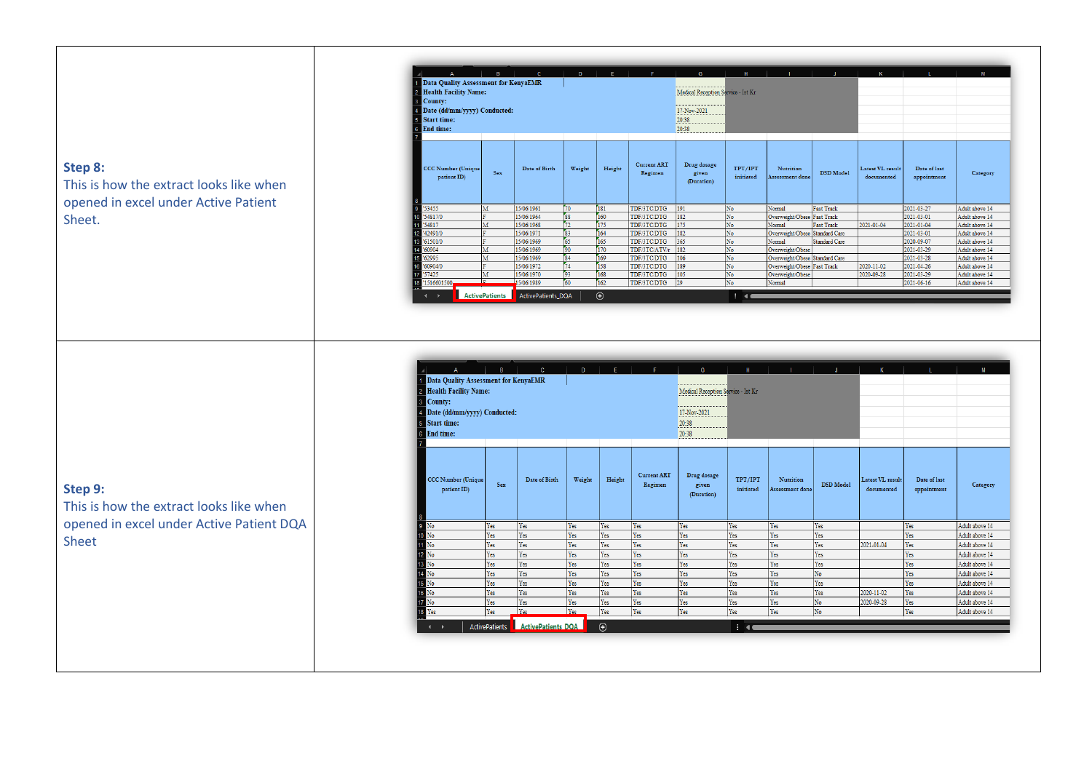## **Step 8:**

This is how the extract looks like when opened in excel under Active Patient Sheet.

|                                                                                                                                                                                                                | $\mathbf{B}$          | $\mathbf{c}$       | D                                                                   | F.         | F.                            | G                                  | н                    |                                | л.                   | $\overline{K}$                 | л.                          | M              |
|----------------------------------------------------------------------------------------------------------------------------------------------------------------------------------------------------------------|-----------------------|--------------------|---------------------------------------------------------------------|------------|-------------------------------|------------------------------------|----------------------|--------------------------------|----------------------|--------------------------------|-----------------------------|----------------|
| Data Quality Assessment for KenyaEMR<br><b>Health Facility Name:</b><br>$\overline{2}$<br>3 County:<br>Date (dd/mm/yyyy) Conducted:<br>$\overline{4}$<br><b>Start time:</b><br>5<br>6<br><b>End time:</b><br>7 |                       |                    | Medical Reception Service - Ist Kr<br>17-Nov-2021<br>20:38<br>20:38 |            |                               |                                    |                      |                                |                      |                                |                             |                |
| <b>CCC Number (Unique</b><br>patient ID)<br>8                                                                                                                                                                  | <b>Sex</b>            | Date of Birth      | Weight                                                              | Height     | <b>Current ART</b><br>Regimen | Drug dosage<br>given<br>(Duration) | TPT/IPT<br>initiated | Nutrition<br>Assessment done   | <b>DSD</b> Model     | Latest VL result<br>documented | Date of last<br>appointment | Category       |
| $\mathsf{g}\,$<br>'53455                                                                                                                                                                                       | M                     | 15/06/1961         | 70                                                                  | 181        | TDF/3TC/DTG                   | 191                                | No                   | Normal                         | <b>Fast Track</b>    |                                | 2021-03-27                  | Adult above 14 |
| '54817/0<br>10                                                                                                                                                                                                 | È.                    | 15/06/1964         | ss <sup></sup>                                                      | 160        | TDF/3TC/DTG                   | 182                                | No                   | Overweight/Obese Fast Track    |                      |                                | 2021-03-01                  | Adult above 14 |
| '54817<br>11                                                                                                                                                                                                   | M                     | 15/06/1968         | 72                                                                  | 175        | TDF/3TC/DTG                   | 175                                | No                   | Normal                         | <b>Fast Track</b>    | 2021-01-04                     | 2021-01-04                  | Adult above 14 |
| '42491/0<br>12                                                                                                                                                                                                 | ۰                     | 15/06/1971         | 83                                                                  | 164        | TDF/3TC/DTG                   | 182                                | No                   | Overweight/Obese Standard Care |                      |                                | 2021-03-01                  | Adult above 14 |
| 13<br>'61501/0                                                                                                                                                                                                 | ۰                     | 15/06/1969         | 65                                                                  | 165        | <b>TDF/3TC/DTG</b>            | 365                                | No                   | Normal                         | <b>Standard Care</b> |                                | 2020-09-07                  | Adult above 14 |
| '60904<br>14                                                                                                                                                                                                   | M                     | 15/06/1969         | 90                                                                  | 170        | TDF/3TC/ATV/r                 | 182                                | No                   | Overweight/Obese               |                      |                                | 2021-03-29                  | Adult above 14 |
| '62995<br>15                                                                                                                                                                                                   | M                     | 15/06/1969         | 84                                                                  | 169        | TDF/3TC/DTG                   | 106                                | No                   | Overweight/Obese Standard Care |                      |                                | 2021-03-28                  | Adult above 14 |
| '60904/0<br>16                                                                                                                                                                                                 | п                     | 15/06/1972         | 74                                                                  | 158        | TDF/3TC/DTG                   | 189                                | No                   | Overweight/Obese Fast Track    |                      | 2020-11-02                     | 2021-04-26                  | Adult above 14 |
| '57425<br>17                                                                                                                                                                                                   | M                     | 15/06/1970         | 93                                                                  | 168        | TDF/3TC/DTG                   | 105                                | No                   | Overweight/Obese               |                      | 2020-09-28                     | 2021-03-29                  | Adult above 14 |
| '1516601500<br>$\frac{18}{18}$                                                                                                                                                                                 |                       | 15/06/1989         | 60                                                                  | 162        | TDF/3TC/DTG                   | 29                                 | No                   | Normal                         |                      |                                | 2021-06-16                  | Adult above 14 |
|                                                                                                                                                                                                                | <b>ActivePatients</b> | ActivePatients DQA |                                                                     | $\bigcirc$ |                               |                                    | $\blacksquare$       |                                |                      |                                |                             |                |

| Medical Reception Service - Ist Kr<br>17-Nov-2021<br>20:38<br>20:38<br>$\overline{7}$<br><b>Current ART</b><br>Drug dosage<br>Height<br>TPT/IPT<br>Nutrition<br><b>CCC Number (Unique</b><br>Date of Birth<br>Weight<br>Latest VL result<br>Date of last<br><b>Sex</b><br>Regimen<br><b>DSD</b> Model<br>Category<br>given<br>initiated<br>patient ID)<br>Assessment done<br>documented<br>appointment<br>(Duration)<br>$\begin{array}{c c}\n8 & \longrightarrow & \hline\n9 & \overline{\text{No}} \\ \hline\n9 & \overline{\text{No}} \\ \hline\n10 & \overline{\text{No}}\n\end{array}$<br>Yes<br><b>Yes</b><br>Yes<br>Yes<br>Yes<br>Yes<br>Yes<br>Yes<br>Adult above 14<br>Yes<br>Yes<br>Yes<br>Yes<br>Yes<br>Yes<br>Yes<br>Yes<br>Yes<br>Yes<br>Yes<br>Yes<br>Adult above 14<br>$\overline{11}$<br>Yes<br>Yes<br>Yes<br>Yes<br>Yes<br>Yes<br>Yes<br>No<br>Yes<br>Yes<br>2021-01-04<br>Yes<br>Adult above 14<br>$12\overline{N_0}$<br>Yes<br>Yes<br>Yes<br>Yes<br>Yes<br>Yes<br>Yes<br>Yes<br>Yes<br>Yes<br>Adult above 14<br>$\frac{12}{13} \frac{N_0}{N_0}$<br>14<br>15<br>15<br>16<br>17<br>18<br>17<br>18<br>18<br>Yes<br>Yes<br>Yes<br>Yes<br>Yes<br>Yes<br>Yes<br>Yes<br>Yes<br>Yes<br>Adult above 14<br>No<br>Yes<br>Yes<br>Yes<br>Yes<br>Yes<br>Yes<br>Yes<br>Yes<br>Yes<br>Adult above 14<br>Yes<br>Yes<br>Yes<br>Yes<br>Yes<br>Yes<br>Yes<br>Yes<br>Yes<br>Yes<br>Adult above 14<br>Yes<br>Yes<br>Yes<br>Yes<br>Yes<br>Yes<br>Yes<br>Yes<br>Yes<br>2020-11-02<br>Yes<br>Adult above 14<br>No<br>Yes<br>Yes<br>Yes<br>Yes<br>Yes<br>Yes<br>Yes<br>Yes<br>2020-09-28<br>Yes<br>Adult above 14<br>Yes<br>Yes<br>Yes<br>Yes<br>Yes<br>Yes<br>Yes<br>No<br>Yes<br>Yes<br>Adult above 14<br>$\odot$<br><b>ActivePatients DQA</b><br>ActivePatients<br>$\pm$ 40 |                                                                                                                                                             | B | $\mathbb{C}$ | $\mathsf{D}$ | E. | F. | G | н |  |  | K | M |
|------------------------------------------------------------------------------------------------------------------------------------------------------------------------------------------------------------------------------------------------------------------------------------------------------------------------------------------------------------------------------------------------------------------------------------------------------------------------------------------------------------------------------------------------------------------------------------------------------------------------------------------------------------------------------------------------------------------------------------------------------------------------------------------------------------------------------------------------------------------------------------------------------------------------------------------------------------------------------------------------------------------------------------------------------------------------------------------------------------------------------------------------------------------------------------------------------------------------------------------------------------------------------------------------------------------------------------------------------------------------------------------------------------------------------------------------------------------------------------------------------------------------------------------------------------------------------------------------------------------------------------------------------------------------------------------------------------------------------------------------------------------------|-------------------------------------------------------------------------------------------------------------------------------------------------------------|---|--------------|--------------|----|----|---|---|--|--|---|---|
|                                                                                                                                                                                                                                                                                                                                                                                                                                                                                                                                                                                                                                                                                                                                                                                                                                                                                                                                                                                                                                                                                                                                                                                                                                                                                                                                                                                                                                                                                                                                                                                                                                                                                                                                                                        | <sup>4</sup> Data Quality Assessment for KenyaEMR<br>2 Health Facility Name:<br>3 County:<br>4 Date (dd/mm/yyyy) Conducted:<br>5 Start time:<br>6 End time: |   |              |              |    |    |   |   |  |  |   |   |
|                                                                                                                                                                                                                                                                                                                                                                                                                                                                                                                                                                                                                                                                                                                                                                                                                                                                                                                                                                                                                                                                                                                                                                                                                                                                                                                                                                                                                                                                                                                                                                                                                                                                                                                                                                        |                                                                                                                                                             |   |              |              |    |    |   |   |  |  |   |   |
|                                                                                                                                                                                                                                                                                                                                                                                                                                                                                                                                                                                                                                                                                                                                                                                                                                                                                                                                                                                                                                                                                                                                                                                                                                                                                                                                                                                                                                                                                                                                                                                                                                                                                                                                                                        |                                                                                                                                                             |   |              |              |    |    |   |   |  |  |   |   |
|                                                                                                                                                                                                                                                                                                                                                                                                                                                                                                                                                                                                                                                                                                                                                                                                                                                                                                                                                                                                                                                                                                                                                                                                                                                                                                                                                                                                                                                                                                                                                                                                                                                                                                                                                                        |                                                                                                                                                             |   |              |              |    |    |   |   |  |  |   |   |
|                                                                                                                                                                                                                                                                                                                                                                                                                                                                                                                                                                                                                                                                                                                                                                                                                                                                                                                                                                                                                                                                                                                                                                                                                                                                                                                                                                                                                                                                                                                                                                                                                                                                                                                                                                        |                                                                                                                                                             |   |              |              |    |    |   |   |  |  |   |   |
|                                                                                                                                                                                                                                                                                                                                                                                                                                                                                                                                                                                                                                                                                                                                                                                                                                                                                                                                                                                                                                                                                                                                                                                                                                                                                                                                                                                                                                                                                                                                                                                                                                                                                                                                                                        |                                                                                                                                                             |   |              |              |    |    |   |   |  |  |   |   |
|                                                                                                                                                                                                                                                                                                                                                                                                                                                                                                                                                                                                                                                                                                                                                                                                                                                                                                                                                                                                                                                                                                                                                                                                                                                                                                                                                                                                                                                                                                                                                                                                                                                                                                                                                                        |                                                                                                                                                             |   |              |              |    |    |   |   |  |  |   |   |
|                                                                                                                                                                                                                                                                                                                                                                                                                                                                                                                                                                                                                                                                                                                                                                                                                                                                                                                                                                                                                                                                                                                                                                                                                                                                                                                                                                                                                                                                                                                                                                                                                                                                                                                                                                        |                                                                                                                                                             |   |              |              |    |    |   |   |  |  |   |   |
|                                                                                                                                                                                                                                                                                                                                                                                                                                                                                                                                                                                                                                                                                                                                                                                                                                                                                                                                                                                                                                                                                                                                                                                                                                                                                                                                                                                                                                                                                                                                                                                                                                                                                                                                                                        |                                                                                                                                                             |   |              |              |    |    |   |   |  |  |   |   |
|                                                                                                                                                                                                                                                                                                                                                                                                                                                                                                                                                                                                                                                                                                                                                                                                                                                                                                                                                                                                                                                                                                                                                                                                                                                                                                                                                                                                                                                                                                                                                                                                                                                                                                                                                                        |                                                                                                                                                             |   |              |              |    |    |   |   |  |  |   |   |
|                                                                                                                                                                                                                                                                                                                                                                                                                                                                                                                                                                                                                                                                                                                                                                                                                                                                                                                                                                                                                                                                                                                                                                                                                                                                                                                                                                                                                                                                                                                                                                                                                                                                                                                                                                        |                                                                                                                                                             |   |              |              |    |    |   |   |  |  |   |   |
|                                                                                                                                                                                                                                                                                                                                                                                                                                                                                                                                                                                                                                                                                                                                                                                                                                                                                                                                                                                                                                                                                                                                                                                                                                                                                                                                                                                                                                                                                                                                                                                                                                                                                                                                                                        |                                                                                                                                                             |   |              |              |    |    |   |   |  |  |   |   |
|                                                                                                                                                                                                                                                                                                                                                                                                                                                                                                                                                                                                                                                                                                                                                                                                                                                                                                                                                                                                                                                                                                                                                                                                                                                                                                                                                                                                                                                                                                                                                                                                                                                                                                                                                                        |                                                                                                                                                             |   |              |              |    |    |   |   |  |  |   |   |

**Step 9:** 

This is how the extract looks like when opened in excel under Active Patient DQA Sheet